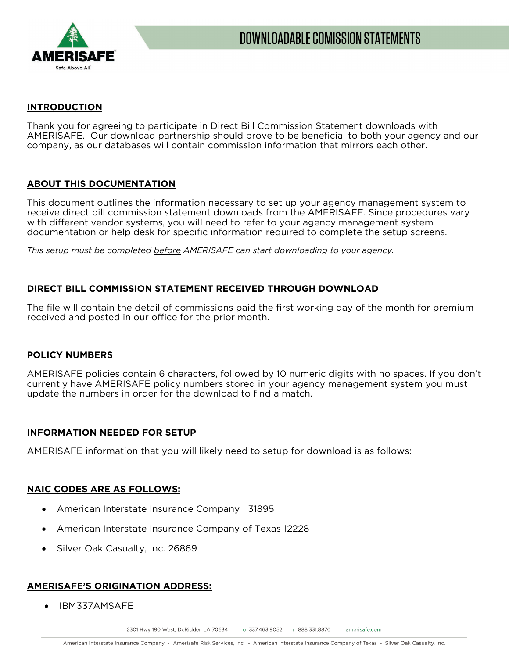

#### **INTRODUCTION**

Thank you for agreeing to participate in Direct Bill Commission Statement downloads with AMERISAFE. Our download partnership should prove to be beneficial to both your agency and our company, as our databases will contain commission information that mirrors each other.

### **ABOUT THIS DOCUMENTATION**

This document outlines the information necessary to set up your agency management system to receive direct bill commission statement downloads from the AMERISAFE. Since procedures vary with different vendor systems, you will need to refer to your agency management system documentation or help desk for specific information required to complete the setup screens.

*This setup must be completed before AMERISAFE can start downloading to your agency.*

### **DIRECT BILL COMMISSION STATEMENT RECEIVED THROUGH DOWNLOAD**

The file will contain the detail of commissions paid the first working day of the month for premium received and posted in our office for the prior month.

#### **POLICY NUMBERS**

AMERISAFE policies contain 6 characters, followed by 10 numeric digits with no spaces. If you don't currently have AMERISAFE policy numbers stored in your agency management system you must update the numbers in order for the download to find a match.

#### **INFORMATION NEEDED FOR SETUP**

AMERISAFE information that you will likely need to setup for download is as follows:

#### **NAIC CODES ARE AS FOLLOWS:**

- American Interstate Insurance Company 31895
- American Interstate Insurance Company of Texas 12228
- Silver Oak Casualty, Inc. 26869

## **AMERISAFE'S ORIGINATION ADDRESS:**

• IBM337AMSAFE